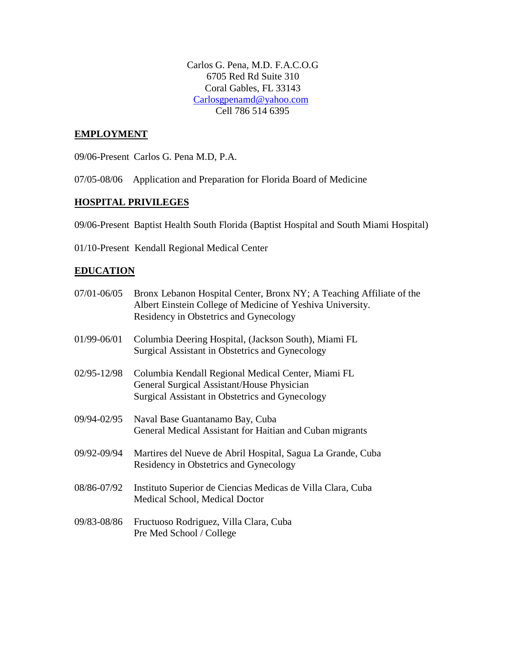Carlos G. Pena, M.D. F.A.C.O.G 6705 Red Rd Suite 310 Coral Gables, FL 33143 [Carlosgpenamd@yahoo.com](mailto:Carlosgpenamd@netzero.com) Cell 786 514 6395

### **EMPLOYMENT**

09/06-Present Carlos G. Pena M.D, P.A.

07/05-08/06 Application and Preparation for Florida Board of Medicine

#### **HOSPITAL PRIVILEGES**

09/06-Present Baptist Health South Florida (Baptist Hospital and South Miami Hospital)

01/10-Present Kendall Regional Medical Center

#### **EDUCATION**

| 07/01-06/05 | Bronx Lebanon Hospital Center, Bronx NY; A Teaching Affiliate of the<br>Albert Einstein College of Medicine of Yeshiva University.<br>Residency in Obstetrics and Gynecology |
|-------------|------------------------------------------------------------------------------------------------------------------------------------------------------------------------------|
| 01/99-06/01 | Columbia Deering Hospital, (Jackson South), Miami FL<br>Surgical Assistant in Obstetrics and Gynecology                                                                      |
| 02/95-12/98 | Columbia Kendall Regional Medical Center, Miami FL<br>General Surgical Assistant/House Physician<br>Surgical Assistant in Obstetrics and Gynecology                          |
| 09/94-02/95 | Naval Base Guantanamo Bay, Cuba<br>General Medical Assistant for Haitian and Cuban migrants                                                                                  |
| 09/92-09/94 | Martires del Nueve de Abril Hospital, Sagua La Grande, Cuba<br>Residency in Obstetrics and Gynecology                                                                        |
| 08/86-07/92 | Instituto Superior de Ciencias Medicas de Villa Clara, Cuba<br>Medical School, Medical Doctor                                                                                |
| 09/83-08/86 | Fructuoso Rodriguez, Villa Clara, Cuba<br>Pre Med School / College                                                                                                           |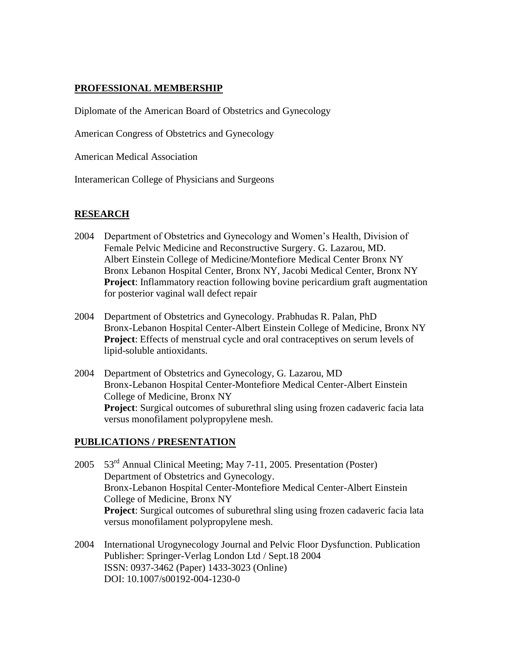## **PROFESSIONAL MEMBERSHIP**

Diplomate of the American Board of Obstetrics and Gynecology

American Congress of Obstetrics and Gynecology

American Medical Association

Interamerican College of Physicians and Surgeons

## **RESEARCH**

- 2004 Department of Obstetrics and Gynecology and Women's Health, Division of Female Pelvic Medicine and Reconstructive Surgery. G. Lazarou, MD. Albert Einstein College of Medicine/Montefiore Medical Center Bronx NY Bronx Lebanon Hospital Center, Bronx NY, Jacobi Medical Center, Bronx NY **Project:** Inflammatory reaction following bovine pericardium graft augmentation for posterior vaginal wall defect repair
- 2004 Department of Obstetrics and Gynecology. Prabhudas R. Palan, PhD Bronx-Lebanon Hospital Center-Albert Einstein College of Medicine, Bronx NY **Project**: Effects of menstrual cycle and oral contraceptives on serum levels of lipid-soluble antioxidants.
- 2004 Department of Obstetrics and Gynecology, G. Lazarou, MD Bronx-Lebanon Hospital Center-Montefiore Medical Center-Albert Einstein College of Medicine, Bronx NY **Project**: Surgical outcomes of suburethral sling using frozen cadaveric facia lata versus monofilament polypropylene mesh.

## **PUBLICATIONS / PRESENTATION**

- 2005 53rd Annual Clinical Meeting; May 7-11, 2005. Presentation (Poster) Department of Obstetrics and Gynecology. Bronx-Lebanon Hospital Center-Montefiore Medical Center-Albert Einstein College of Medicine, Bronx NY **Project**: Surgical outcomes of suburethral sling using frozen cadaveric facia lata versus monofilament polypropylene mesh.
- 2004 International Urogynecology Journal and Pelvic Floor Dysfunction. Publication Publisher: Springer-Verlag London Ltd / Sept.18 2004 ISSN: 0937-3462 (Paper) 1433-3023 (Online) DOI: 10.1007/s00192-004-1230-0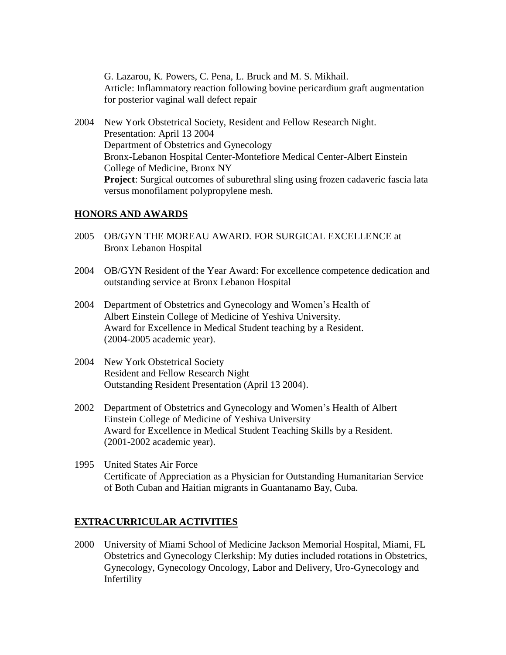G. Lazarou, K. Powers, C. Pena, L. Bruck and M. S. Mikhail. Article: Inflammatory reaction following bovine pericardium graft augmentation for posterior vaginal wall defect repair

2004 New York Obstetrical Society, Resident and Fellow Research Night. Presentation: April 13 2004 Department of Obstetrics and Gynecology Bronx-Lebanon Hospital Center-Montefiore Medical Center-Albert Einstein College of Medicine, Bronx NY **Project**: Surgical outcomes of suburethral sling using frozen cadaveric fascia lata versus monofilament polypropylene mesh.

#### **HONORS AND AWARDS**

- 2005 OB/GYN THE MOREAU AWARD. FOR SURGICAL EXCELLENCE at Bronx Lebanon Hospital
- 2004 OB/GYN Resident of the Year Award: For excellence competence dedication and outstanding service at Bronx Lebanon Hospital
- 2004 Department of Obstetrics and Gynecology and Women's Health of Albert Einstein College of Medicine of Yeshiva University. Award for Excellence in Medical Student teaching by a Resident. (2004-2005 academic year).
- 2004 New York Obstetrical Society Resident and Fellow Research Night Outstanding Resident Presentation (April 13 2004).
- 2002 Department of Obstetrics and Gynecology and Women's Health of Albert Einstein College of Medicine of Yeshiva University Award for Excellence in Medical Student Teaching Skills by a Resident. (2001-2002 academic year).
- 1995 United States Air Force Certificate of Appreciation as a Physician for Outstanding Humanitarian Service of Both Cuban and Haitian migrants in Guantanamo Bay, Cuba.

#### **EXTRACURRICULAR ACTIVITIES**

2000 University of Miami School of Medicine Jackson Memorial Hospital, Miami, FL Obstetrics and Gynecology Clerkship: My duties included rotations in Obstetrics, Gynecology, Gynecology Oncology, Labor and Delivery, Uro-Gynecology and Infertility